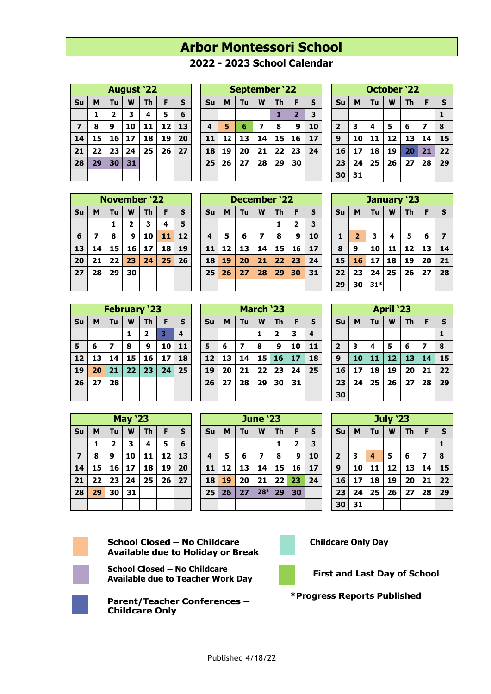## **Arbor Montessori School**

## **- 2023 School Calendar**

|                | <b>August '22</b> |                           |    |    |    |    |  |  |  |  |
|----------------|-------------------|---------------------------|----|----|----|----|--|--|--|--|
| Su             | M                 | Tu<br>W<br><b>Th</b><br>F |    |    |    |    |  |  |  |  |
|                | 1                 | $\overline{2}$            | 3  | 4  | 5  | 6  |  |  |  |  |
| $\overline{7}$ | 8                 | 9                         | 10 | 11 | 12 | 13 |  |  |  |  |
| 14             | 15                | 16                        | 17 | 18 | 19 | 20 |  |  |  |  |
| 21             | 22                | 23                        | 24 | 25 | 26 | 27 |  |  |  |  |
| 28             | 29                | 30                        | 31 |    |    |    |  |  |  |  |
|                |                   |                           |    |    |    |    |  |  |  |  |

| <b>September '22</b>    |    |                                           |    |    |                |                         |  |  |
|-------------------------|----|-------------------------------------------|----|----|----------------|-------------------------|--|--|
| Su                      | M  | $\mathsf{s}$<br><b>Th</b><br>Tu<br>W<br>F |    |    |                |                         |  |  |
|                         |    |                                           |    | 1  | $\overline{2}$ | $\overline{\mathbf{3}}$ |  |  |
| $\overline{\mathbf{4}}$ | 5  | 6                                         | 7  | 8  | 9              | 10                      |  |  |
| 11                      | 12 | 13                                        | 14 | 15 | 16             | 17                      |  |  |
| 18                      | 19 | 20                                        | 21 | 22 | 23             | 24                      |  |  |
| 25                      | 26 | 27                                        | 28 | 29 | 30             |                         |  |  |
|                         |    |                                           |    |    |                |                         |  |  |

| <b>October '22</b> |                              |    |    |    |    |              |  |  |  |
|--------------------|------------------------------|----|----|----|----|--------------|--|--|--|
| Su                 | Tu<br>S<br>F<br>M<br>W<br>Th |    |    |    |    |              |  |  |  |
|                    |                              |    |    |    |    | $\mathbf{1}$ |  |  |  |
| $\overline{2}$     | 3                            | 4  | 5  | 6  | 7  | 8            |  |  |  |
| $\boldsymbol{9}$   | 10                           | 11 | 12 | 13 | 14 | 15           |  |  |  |
| 16                 | 17                           | 18 | 19 | 20 | 21 | 22           |  |  |  |
| 23                 | 24                           | 25 | 26 | 27 | 28 | 29           |  |  |  |
| 30                 | 31                           |    |    |    |    |              |  |  |  |

| <b>November '22</b> |    |                           |              |    |    |    |  |  |
|---------------------|----|---------------------------|--------------|----|----|----|--|--|
| Su                  | M  | W<br><b>Th</b><br>Tu<br>F |              |    |    |    |  |  |
|                     |    | 1                         | $\mathbf{2}$ | 3  | 4  | 5  |  |  |
| 6                   | 7  | 8                         | 9            | 10 | 11 | 12 |  |  |
| 13                  | 14 | 15                        | 16           | 17 | 18 | 19 |  |  |
| 20                  | 21 | 22                        | 23           | 24 | 25 | 26 |  |  |
| 27                  | 28 | 29                        | 30           |    |    |    |  |  |
|                     |    |                           |              |    |    |    |  |  |

| <b>December '22</b> |    |                                |    |    |    |    |  |
|---------------------|----|--------------------------------|----|----|----|----|--|
| Su                  | M  | W<br>S<br><b>Th</b><br>F<br>Tu |    |    |    |    |  |
|                     |    |                                |    | 1  | 2  | 3  |  |
| 4                   | 5  | 6                              | 7  | 8  | 9  | 10 |  |
| 11                  | 12 | 13                             | 14 | 15 | 16 | 17 |  |
| 18                  | 19 | 20                             | 21 | 22 | 23 | 24 |  |
| 25                  | 26 | 27                             | 28 | 29 | 30 | 31 |  |
|                     |    |                                |    |    |    |    |  |

| January '23  |                                      |       |    |    |    |                         |  |  |  |
|--------------|--------------------------------------|-------|----|----|----|-------------------------|--|--|--|
| Su           | Tu<br>M<br>F<br>${\sf s}$<br>W<br>Th |       |    |    |    |                         |  |  |  |
|              |                                      |       |    |    |    |                         |  |  |  |
| $\mathbf{1}$ | $\overline{2}$                       | 3     | 4  | 5  | 6  | $\overline{\mathbf{z}}$ |  |  |  |
| 8            | 9                                    | 10    | 11 | 12 | 13 | 14                      |  |  |  |
| 15           | 16                                   | 17    | 18 | 19 | 20 | 21                      |  |  |  |
| 22           | 23                                   | 24    | 25 | 26 | 27 | 28                      |  |  |  |
| 29           | 30                                   | $31*$ |    |    |    |                         |  |  |  |
|              |                                      |       |    |    |    |                         |  |  |  |

**April '23**  $\mathbf{S}$ **u**  $\mathbf{M}$   $\mathbf{T}$ **u**  $\mathbf{W}$   $\mathbf{T}$ **h**  $\mathbf{F}$   $\mathbf{S}$ 

 **3 4 5 6 7 8 10 11 12 13 14 15 17 18 19 20 21 22 24 25 26 27 28 29**

| <b>February '23</b> |                              |    |    |                |    |    |  |  |  |
|---------------------|------------------------------|----|----|----------------|----|----|--|--|--|
| Su                  | Tu<br>S<br>M<br>W<br>F<br>Th |    |    |                |    |    |  |  |  |
|                     |                              |    | 1  | $\overline{2}$ | 3  | 4  |  |  |  |
| 5                   | 6                            | 7  | 8  | 9              | 10 | 11 |  |  |  |
| 12                  | 13                           | 14 | 15 | 16             | 17 | 18 |  |  |  |
| 19                  | 20                           | 21 | 22 | 23             | 24 | 25 |  |  |  |
| 26                  | 27                           | 28 |    |                |    |    |  |  |  |
|                     |                              |    |    |                |    |    |  |  |  |

| <b>May '23</b> |    |                                           |    |    |    |    |  |  |
|----------------|----|-------------------------------------------|----|----|----|----|--|--|
| Su             | M  | <b>Th</b><br>W<br>Tu<br>$\mathsf{s}$<br>F |    |    |    |    |  |  |
|                | 1  | $\overline{\mathbf{2}}$                   | 3  | 4  | 5  | 6  |  |  |
| $\overline{z}$ | 8  | 9                                         | 10 | 11 | 12 | 13 |  |  |
| 14             | 15 | 16                                        | 17 | 18 | 19 | 20 |  |  |
| 21             | 22 | 23                                        | 24 | 25 | 26 | 27 |  |  |
| 28             | 29 | 30                                        | 31 |    |    |    |  |  |
|                |    |                                           |    |    |    |    |  |  |

| March ZJ |    |    |    |           |    |                         |  |  |  |
|----------|----|----|----|-----------|----|-------------------------|--|--|--|
| Su       | M  | Tu | W  | <b>Th</b> | F  | S                       |  |  |  |
|          |    |    | 1  | 2         | 3  | $\overline{\mathbf{4}}$ |  |  |  |
| 5        | 6  | 7  | 8  | 9         | 10 | 11                      |  |  |  |
| 12       | 13 | 14 | 15 | 16        | 17 | 18                      |  |  |  |
| 19       | 20 | 21 | 22 | 23        | 24 | 25                      |  |  |  |
| 26       | 27 | 28 | 29 | 30        | 31 |                         |  |  |  |
|          |    |    |    |           |    |                         |  |  |  |

**March 133** 

 $\sim 100$ 

| <b>June '23</b> |    |                    |       |    |    |                         |  |  |
|-----------------|----|--------------------|-------|----|----|-------------------------|--|--|
| Su              | M  | F<br>Tu<br>W<br>Th |       |    |    |                         |  |  |
|                 |    |                    |       | 1  | 2  | $\overline{\mathbf{3}}$ |  |  |
| 4               | 5  | 6                  | 7     | 8  | 9  | 10                      |  |  |
| 11              | 12 | 13                 | 14    | 15 | 16 | 17                      |  |  |
| 18              | 19 | 20                 | 21    | 22 | 23 | 24                      |  |  |
| 25              | 26 | 27                 | $28*$ | 29 | 30 |                         |  |  |
|                 |    |                    |       |    |    |                         |  |  |

|    |    |                 |           |                         |    | 30                      |
|----|----|-----------------|-----------|-------------------------|----|-------------------------|
|    |    |                 |           |                         |    |                         |
|    |    | <b>June '23</b> |           |                         |    |                         |
| M  | Tu | W               | <b>Th</b> | F                       | S  | Su                      |
|    |    |                 | 1         | $\overline{\mathbf{2}}$ | 3  |                         |
| 5  | 6  | 7               | 8         | 9                       | 10 | $\overline{\mathbf{2}}$ |
| 12 | 13 | 14              | 15        | 16                      | 17 | $\boldsymbol{9}$        |
| 19 | 20 | 21              | 22        | 23                      | 24 | 16                      |
| 26 | 27 | $28*$           | 29        | 30                      |    | 23                      |

| <b>July '23</b>         |    |    |    |           |    |              |  |  |  |
|-------------------------|----|----|----|-----------|----|--------------|--|--|--|
| Su                      | M  | Tu | W  | <b>Th</b> | F  | S            |  |  |  |
|                         |    |    |    |           |    | $\mathbf{1}$ |  |  |  |
| $\overline{\mathbf{2}}$ | 3  | 4  | 5  | 6         | 7  | 8            |  |  |  |
| $\mathbf{9}$            | 10 | 11 | 12 | 13        | 14 | 15           |  |  |  |
| 16                      | 17 | 18 | 19 | 20        | 21 | 22           |  |  |  |
| 23                      | 24 | 25 | 26 | 27        | 28 | 29           |  |  |  |
| 30                      | 31 |    |    |           |    |              |  |  |  |



**School Closed – No Childcare Available due to Holiday or Break**



**School Closed – No Childcare Available due to Teacher Work Day First and Last Day of School**



**Parent/Teacher Conferences – Childcare Only**



 **Childcare Only Day**



## **\*Progress Reports Published**